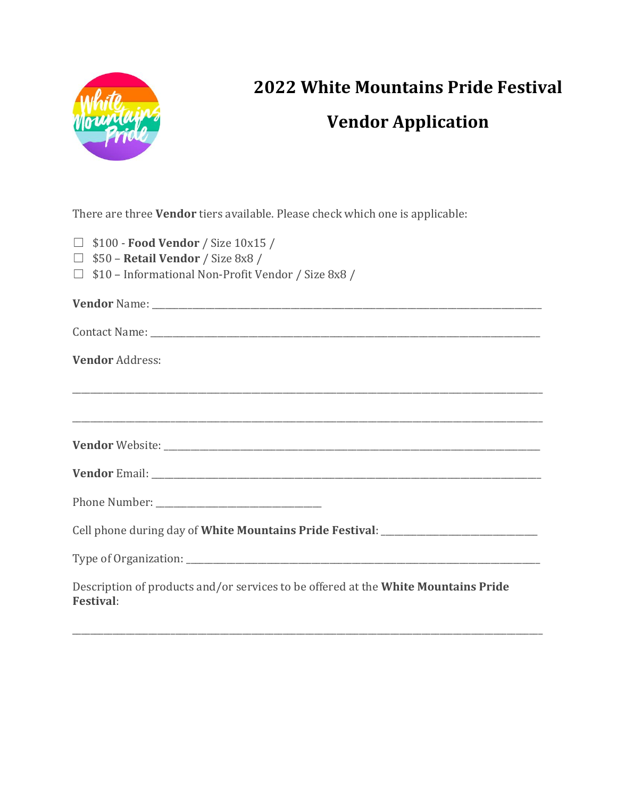

## **2022 White Mountains Pride Festival Vendor Application**

There are three **Vendor** tiers available. Please check which one is applicable:

|  |  |  | $\Box$ \$100 - Food Vendor / Size 10x15 / |  |  |  |
|--|--|--|-------------------------------------------|--|--|--|
|--|--|--|-------------------------------------------|--|--|--|

- ☐ \$50 **Retail Vendor** / Size 8x8 /
- ☐ \$10 Informational Non-Profit Vendor / Size 8x8 /

| <b>Vendor Address:</b>                                                                                 |
|--------------------------------------------------------------------------------------------------------|
|                                                                                                        |
| <u>,</u> 我们的人们就会在这里的人们的人们,我们也不会在这里的人们,我们也不会在这里的人们,我们也不会在这里的人们,我们也不会在这里的人们,我们也不会在这里的人们,我们               |
|                                                                                                        |
|                                                                                                        |
| Cell phone during day of White Mountains Pride Festival: _______________________                       |
|                                                                                                        |
| Description of products and/or services to be offered at the White Mountains Pride<br><b>Festival:</b> |

\_\_\_\_\_\_\_\_\_\_\_\_\_\_\_\_\_\_\_\_\_\_\_\_\_\_\_\_\_\_\_\_\_\_\_\_\_\_\_\_\_\_\_\_\_\_\_\_\_\_\_\_\_\_\_\_\_\_\_\_\_\_\_\_\_\_\_\_\_\_\_\_\_\_\_\_\_\_\_\_\_\_\_\_\_\_\_\_\_\_\_\_\_\_\_\_\_\_\_\_\_\_\_\_\_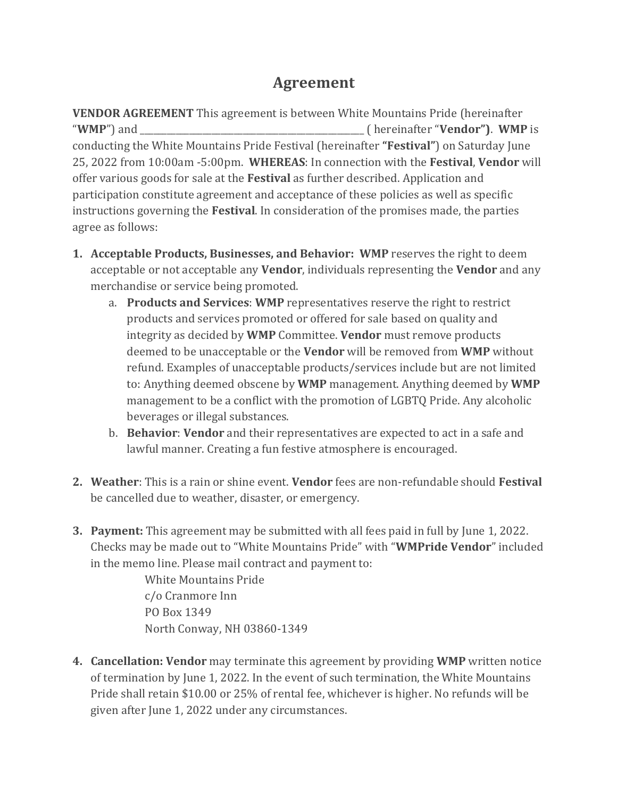## **Agreement**

**VENDOR AGREEMENT** This agreement is between White Mountains Pride (hereinafter "**WMP**") and \_\_\_\_\_\_\_\_\_\_\_\_\_\_\_\_\_\_\_\_\_\_\_\_\_\_\_\_\_\_\_\_\_\_\_\_\_\_\_\_\_\_\_\_\_\_\_\_\_\_ ( hereinafter "**Vendor")**. **WMP** is conducting the White Mountains Pride Festival (hereinafter **"Festival"**) on Saturday June 25, 2022 from 10:00am -5:00pm. **WHEREAS**: In connection with the **Festival**, **Vendor** will offer various goods for sale at the **Festival** as further described. Application and participation constitute agreement and acceptance of these policies as well as specific instructions governing the **Festival**. In consideration of the promises made, the parties agree as follows:

- **1. Acceptable Products, Businesses, and Behavior: WMP** reserves the right to deem acceptable or not acceptable any **Vendor**, individuals representing the **Vendor** and any merchandise or service being promoted.
	- a. **Products and Services**: **WMP** representatives reserve the right to restrict products and services promoted or offered for sale based on quality and integrity as decided by **WMP** Committee. **Vendor** must remove products deemed to be unacceptable or the **Vendor** will be removed from **WMP** without refund. Examples of unacceptable products/services include but are not limited to: Anything deemed obscene by **WMP** management. Anything deemed by **WMP** management to be a conflict with the promotion of LGBTQ Pride. Any alcoholic beverages or illegal substances.
	- b. **Behavior**: **Vendor** and their representatives are expected to act in a safe and lawful manner. Creating a fun festive atmosphere is encouraged.
- **2. Weather**: This is a rain or shine event. **Vendor** fees are non-refundable should **Festival** be cancelled due to weather, disaster, or emergency.
- **3. Payment:** This agreement may be submitted with all fees paid in full by June 1, 2022. Checks may be made out to "White Mountains Pride" with "**WMPride Vendor**" included in the memo line. Please mail contract and payment to:

White Mountains Pride c/o Cranmore Inn PO Box 1349 North Conway, NH 03860-1349

**4. Cancellation: Vendor** may terminate this agreement by providing **WMP** written notice of termination by June 1, 2022. In the event of such termination, the White Mountains Pride shall retain \$10.00 or 25% of rental fee, whichever is higher. No refunds will be given after June 1, 2022 under any circumstances.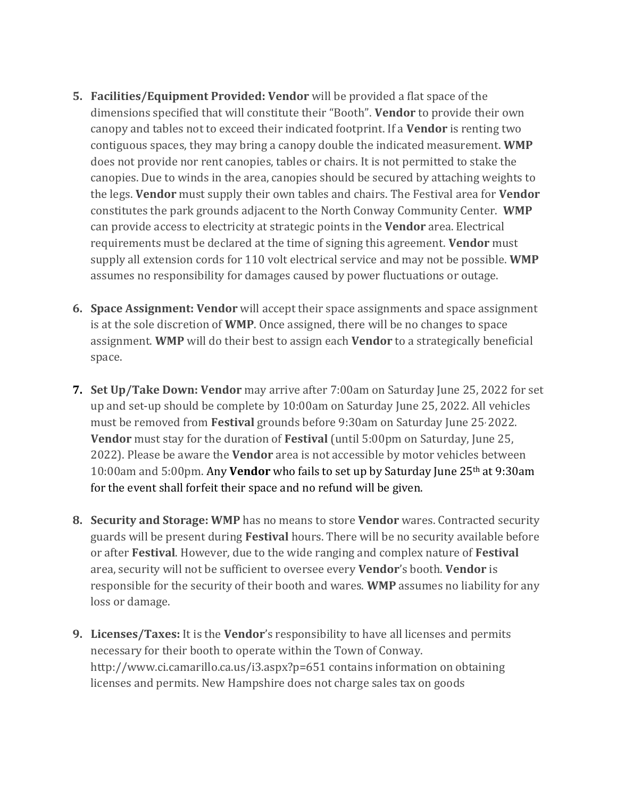- **5. Facilities/Equipment Provided: Vendor** will be provided a flat space of the dimensions specified that will constitute their "Booth". **Vendor** to provide their own canopy and tables not to exceed their indicated footprint. If a **Vendor** is renting two contiguous spaces, they may bring a canopy double the indicated measurement. **WMP** does not provide nor rent canopies, tables or chairs. It is not permitted to stake the canopies. Due to winds in the area, canopies should be secured by attaching weights to the legs. **Vendor** must supply their own tables and chairs. The Festival area for **Vendor** constitutes the park grounds adjacent to the North Conway Community Center. **WMP** can provide access to electricity at strategic points in the **Vendor** area. Electrical requirements must be declared at the time of signing this agreement. **Vendor** must supply all extension cords for 110 volt electrical service and may not be possible. **WMP** assumes no responsibility for damages caused by power fluctuations or outage.
- **6. Space Assignment: Vendor** will accept their space assignments and space assignment is at the sole discretion of **WMP**. Once assigned, there will be no changes to space assignment. **WMP** will do their best to assign each **Vendor** to a strategically beneficial space.
- **7. Set Up/Take Down: Vendor** may arrive after 7:00am on Saturday June 25, 2022 for set up and set-up should be complete by 10:00am on Saturday June 25, 2022. All vehicles must be removed from **Festival** grounds before 9:30am on Saturday June 25, 2022. **Vendor** must stay for the duration of **Festival** (until 5:00pm on Saturday, June 25, 2022). Please be aware the **Vendor** area is not accessible by motor vehicles between 10:00am and 5:00pm. Any **Vendor** who fails to set up by Saturday June 25th at 9:30am for the event shall forfeit their space and no refund will be given.
- **8. Security and Storage: WMP** has no means to store **Vendor** wares. Contracted security guards will be present during **Festival** hours. There will be no security available before or after **Festival**. However, due to the wide ranging and complex nature of **Festival**  area, security will not be sufficient to oversee every **Vendor**'s booth. **Vendor** is responsible for the security of their booth and wares. **WMP** assumes no liability for any loss or damage.
- **9. Licenses/Taxes:** It is the **Vendor**'s responsibility to have all licenses and permits necessary for their booth to operate within the Town of Conway. http://www.ci.camarillo.ca.us/i3.aspx?p=651 contains information on obtaining licenses and permits. New Hampshire does not charge sales tax on goods